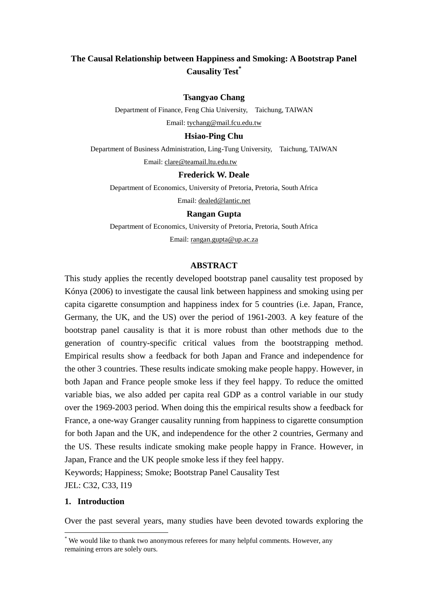# **The Causal Relationship between Happiness and Smoking: A Bootstrap Panel Causality Test\***

# **Tsangyao Chang**

Department of Finance, Feng Chia University, Taichung, TAIWAN

Email: [tychang@mail.fcu.edu.tw](mailto:tychang@mail.fcu.edu.tw)

## **Hsiao-Ping Chu**

Department of Business Administration, Ling-Tung University, Taichung, TAIWAN

Email: [clare@teamail.ltu.edu.tw](mailto:clare@teamail.ltu.edu.tw)

# **Frederick W. Deale**

Department of Economics, University of Pretoria, Pretoria, South Africa

Email: [dealed@lantic.net](mailto:dealed@lantic.net)

# **Rangan Gupta**

Department of Economics, University of Pretoria, Pretoria, South Africa Email: [rangan.gupta@up.ac.za](mailto:rangan.gupta@up.ac.za)

# **ABSTRACT**

This study applies the recently developed bootstrap panel causality test proposed by Kónya (2006) to investigate the causal link between happiness and smoking using per capita cigarette consumption and happiness index for 5 countries (i.e. Japan, France, Germany, the UK, and the US) over the period of 1961-2003. A key feature of the bootstrap panel causality is that it is more robust than other methods due to the generation of country-specific critical values from the bootstrapping method. Empirical results show a feedback for both Japan and France and independence for the other 3 countries. These results indicate smoking make people happy. However, in both Japan and France people smoke less if they feel happy. To reduce the omitted variable bias, we also added per capita real GDP as a control variable in our study over the 1969-2003 period. When doing this the empirical results show a feedback for France, a one-way Granger causality running from happiness to cigarette consumption for both Japan and the UK, and independence for the other 2 countries, Germany and the US. These results indicate smoking make people happy in France. However, in Japan, France and the UK people smoke less if they feel happy. Keywords; Happiness; Smoke; Bootstrap Panel Causality Test

JEL: C32, C33, I19

# **1. Introduction**

<u>.</u>

Over the past several years, many studies have been devoted towards exploring the

<sup>\*</sup> We would like to thank two anonymous referees for many helpful comments. However, any remaining errors are solely ours.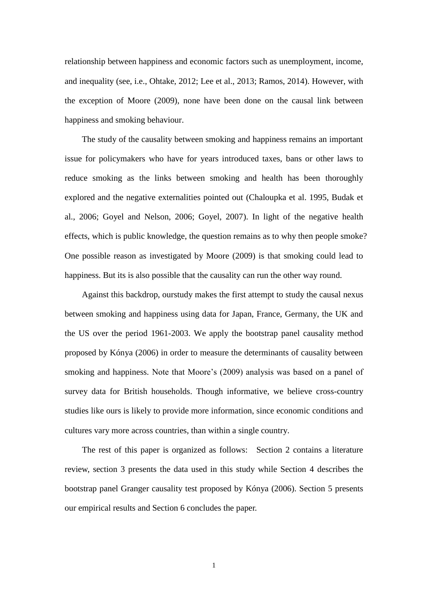relationship between happiness and economic factors such as unemployment, income, and inequality (see, i.e., Ohtake, 2012; Lee et al., 2013; Ramos, 2014). However, with the exception of Moore (2009), none have been done on the causal link between happiness and smoking behaviour.

The study of the causality between smoking and happiness remains an important issue for policymakers who have for years introduced taxes, bans or other laws to reduce smoking as the links between smoking and health has been thoroughly explored and the negative externalities pointed out (Chaloupka et al. 1995, Budak et al., 2006; Goyel and Nelson, 2006; Goyel, 2007). In light of the negative health effects, which is public knowledge, the question remains as to why then people smoke? One possible reason as investigated by Moore (2009) is that smoking could lead to happiness. But its is also possible that the causality can run the other way round.

Against this backdrop, ourstudy makes the first attempt to study the causal nexus between smoking and happiness using data for Japan, France, Germany, the UK and the US over the period 1961-2003. We apply the bootstrap panel causality method proposed by Kónya (2006) in order to measure the determinants of causality between smoking and happiness. Note that Moore's (2009) analysis was based on a panel of survey data for British households. Though informative, we believe cross-country studies like ours is likely to provide more information, since economic conditions and cultures vary more across countries, than within a single country.

The rest of this paper is organized as follows: Section 2 contains a literature review, section 3 presents the data used in this study while Section 4 describes the bootstrap panel Granger causality test proposed by Kónya (2006). Section 5 presents our empirical results and Section 6 concludes the paper.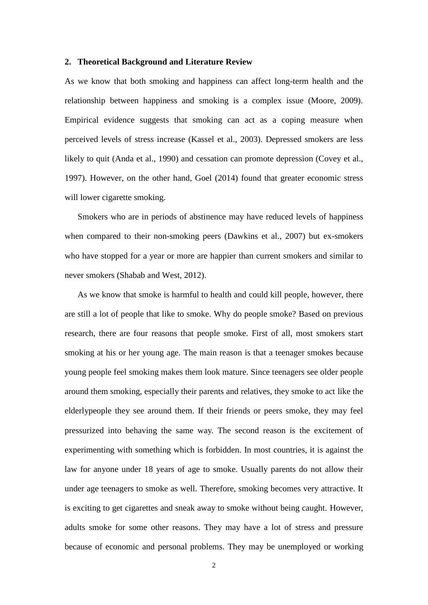#### **2. Theoretical Background and Literature Review**

As we know that both smoking and happiness can affect long-term health and the relationship between happiness and smoking is a complex issue (Moore, 2009). Empirical evidence suggests that smoking can act as a coping measure when perceived levels of stress increase (Kassel et al., 2003). Depressed smokers are less likely to quit (Anda et al., 1990) and cessation can promote depression (Covey et al., 1997). However, on the other hand, Goel (2014) found that greater economic stress will lower cigarette smoking.

Smokers who are in periods of abstinence may have reduced levels of happiness when compared to their non-smoking peers (Dawkins et al., 2007) but ex-smokers who have stopped for a year or more are happier than current smokers and similar to never smokers (Shabab and West, 2012).

As we know that smoke is harmful to health and could kill people, however, there are still a lot of people that like to smoke. Why do people smoke? Based on previous research, there are four reasons that people smoke. First of all, most smokers start smoking at his or her young age. The main reason is that a teenager smokes because young people feel smoking makes them look mature. Since teenagers see older people around them smoking, especially their parents and relatives, they smoke to act like the elderlypeople they see around them. If their friends or peers smoke, they may feel pressurized into behaving the same way. The second reason is the excitement of experimenting with something which is forbidden. In most countries, it is against the law for anyone under 18 years of age to smoke. Usually parents do not allow their under age teenagers to smoke as well. Therefore, smoking becomes very attractive. It is exciting to get cigarettes and sneak away to smoke without being caught. However, adults smoke for some other reasons. They may have a lot of stress and pressure because of economic and personal problems. They may be unemployed or working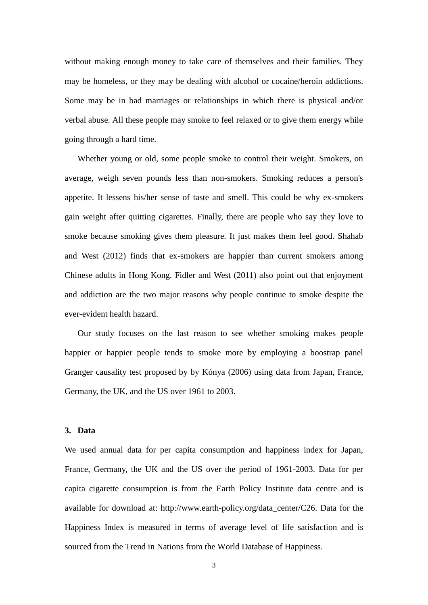without making enough money to take care of themselves and their families. They may be homeless, or they may be dealing with alcohol or cocaine/heroin addictions. Some may be in bad marriages or relationships in which there is physical and/or verbal abuse. All these people may smoke to feel relaxed or to give them energy while going through a hard time.

Whether young or old, some people smoke to control their weight. Smokers, on average, weigh seven pounds less than non-smokers. Smoking reduces a person's appetite. It lessens his/her sense of taste and smell. This could be why ex-smokers gain weight after quitting cigarettes. Finally, there are people who say they love to smoke because smoking gives them pleasure. It just makes them feel good. Shahab and West (2012) finds that ex-smokers are happier than current smokers among Chinese adults in Hong Kong. Fidler and West (2011) also point out that enjoyment and addiction are the two major reasons why people continue to smoke despite the ever-evident health hazard.

Our study focuses on the last reason to see whether smoking makes people happier or happier people tends to smoke more by employing a boostrap panel Granger causality test proposed by by Kónya (2006) using data from Japan, France, Germany, the UK, and the US over 1961 to 2003.

## **3. Data**

We used annual data for per capita consumption and happiness index for Japan, France, Germany, the UK and the US over the period of 1961-2003. Data for per capita cigarette consumption is from the Earth Policy Institute data centre and is available for download at: [http://www.earth-policy.org/data\\_center/C26.](http://www.earth-policy.org/data_center/C26) Data for the Happiness Index is measured in terms of average level of life satisfaction and is sourced from the Trend in Nations from the World Database of Happiness.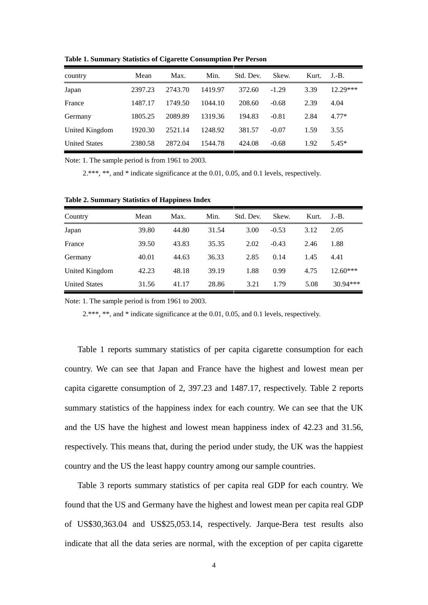| country              | Mean    | Max.    | Min.    | Std. Dev. | Skew.   | Kurt. | $J.-B.$  |
|----------------------|---------|---------|---------|-----------|---------|-------|----------|
| Japan                | 2397.23 | 2743.70 | 1419.97 | 372.60    | $-1.29$ | 3.39  | 12.29*** |
| France               | 1487.17 | 1749.50 | 1044.10 | 208.60    | $-0.68$ | 2.39  | 4.04     |
| Germany              | 1805.25 | 2089.89 | 1319.36 | 194.83    | $-0.81$ | 2.84  | $4.77*$  |
| United Kingdom       | 1920.30 | 2521.14 | 1248.92 | 381.57    | $-0.07$ | 1.59  | 3.55     |
| <b>United States</b> | 2380.58 | 2872.04 | 1544.78 | 424.08    | $-0.68$ | 1.92  | $5.45*$  |

**Table 1. Summary Statistics of Cigarette Consumption Per Person**

Note: 1. The sample period is from 1961 to 2003.

2.\*\*\*, \*\*, and \* indicate significance at the 0.01, 0.05, and 0.1 levels, respectively.

| Country              | Mean  | Max.  | Min.  | Std. Dev. | Skew.   | Kurt. | $J.-B.$    |
|----------------------|-------|-------|-------|-----------|---------|-------|------------|
| Japan                | 39.80 | 44.80 | 31.54 | 3.00      | $-0.53$ | 3.12  | 2.05       |
| France               | 39.50 | 43.83 | 35.35 | 2.02      | $-0.43$ | 2.46  | 1.88       |
| Germany              | 40.01 | 44.63 | 36.33 | 2.85      | 0.14    | 1.45  | 4.41       |
| United Kingdom       | 42.23 | 48.18 | 39.19 | 1.88      | 0.99    | 4.75  | $12.60***$ |
| <b>United States</b> | 31.56 | 41.17 | 28.86 | 3.21      | 1.79    | 5.08  | $30.94***$ |

**Table 2. Summary Statistics of Happiness Index**

Note: 1. The sample period is from 1961 to 2003.

2.\*\*\*, \*\*, and \* indicate significance at the 0.01, 0.05, and 0.1 levels, respectively.

Table 1 reports summary statistics of per capita cigarette consumption for each country. We can see that Japan and France have the highest and lowest mean per capita cigarette consumption of 2, 397.23 and 1487.17, respectively. Table 2 reports summary statistics of the happiness index for each country. We can see that the UK and the US have the highest and lowest mean happiness index of 42.23 and 31.56, respectively. This means that, during the period under study, the UK was the happiest country and the US the least happy country among our sample countries.

Table 3 reports summary statistics of per capita real GDP for each country. We found that the US and Germany have the highest and lowest mean per capita real GDP of US\$30,363.04 and US\$25,053.14, respectively. Jarque-Bera test results also indicate that all the data series are normal, with the exception of per capita cigarette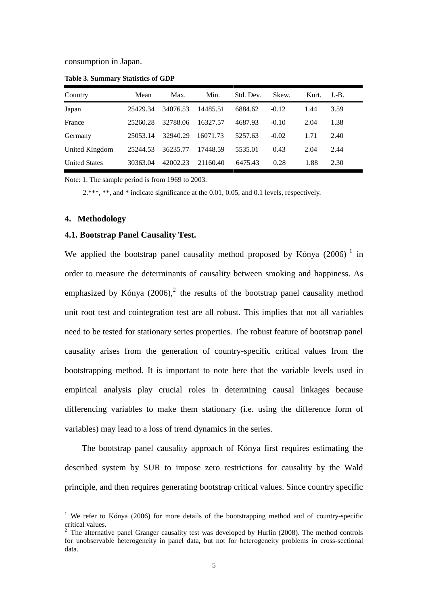consumption in Japan.

| Country              | Mean     | Max.     | Min.     | Std. Dev. | Skew.   | Kurt. | $J.-B.$ |
|----------------------|----------|----------|----------|-----------|---------|-------|---------|
| Japan                | 25429.34 | 34076.53 | 14485.51 | 6884.62   | $-0.12$ | 1.44  | 3.59    |
| France               | 25260.28 | 32788.06 | 16327.57 | 4687.93   | $-0.10$ | 2.04  | 1.38    |
| Germany              | 25053.14 | 32940.29 | 16071.73 | 5257.63   | $-0.02$ | 1.71  | 2.40    |
| United Kingdom       | 25244.53 | 36235.77 | 17448.59 | 5535.01   | 0.43    | 2.04  | 2.44    |
| <b>United States</b> | 30363.04 | 42002.23 | 21160.40 | 6475.43   | 0.28    | 1.88  | 2.30    |

**Table 3. Summary Statistics of GDP**

Note: 1. The sample period is from 1969 to 2003.

2.\*\*\*, \*\*, and \* indicate significance at the 0.01, 0.05, and 0.1 levels, respectively.

#### **4. Methodology**

<u>.</u>

# **4.1. Bootstrap Panel Causality Test.**

We applied the bootstrap panel causality method proposed by Kónya  $(2006)^{-1}$  in order to measure the determinants of causality between smoking and happiness. As emphasized by Kónya  $(2006)$ ,<sup>2</sup> the results of the bootstrap panel causality method unit root test and cointegration test are all robust. This implies that not all variables need to be tested for stationary series properties. The robust feature of bootstrap panel causality arises from the generation of country-specific critical values from the bootstrapping method. It is important to note here that the variable levels used in empirical analysis play crucial roles in determining causal linkages because differencing variables to make them stationary (i.e. using the difference form of variables) may lead to a loss of trend dynamics in the series.

The bootstrap panel causality approach of Kónya first requires estimating the described system by SUR to impose zero restrictions for causality by the Wald principle, and then requires generating bootstrap critical values. Since country specific

We refer to Kónya (2006) for more details of the bootstrapping method and of country-specific critical values.

 $2$  The alternative panel Granger causality test was developed by Hurlin (2008). The method controls for unobservable heterogeneity in panel data, but not for heterogeneity problems in cross-sectional data.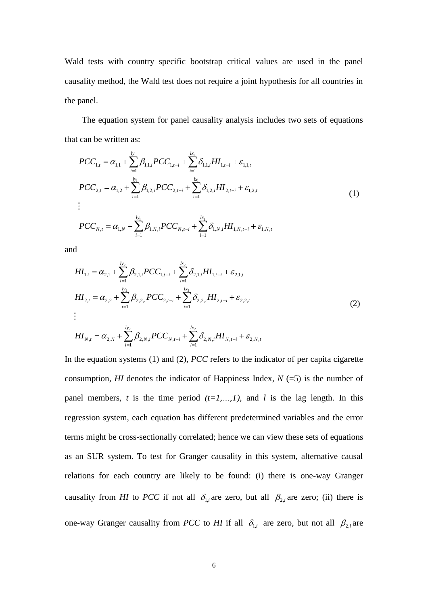Wald tests with country specific bootstrap critical values are used in the panel causality method, the Wald test does not require a joint hypothesis for all countries in the panel.

The equation system for panel causality analysis includes two sets of equations that can be written as:

can be written as:  
\n
$$
PCC_{1,t} = \alpha_{1,1} + \sum_{i=1}^{b_1} \beta_{1,1,i} PCC_{1,t-i} + \sum_{i=1}^{b_1} \delta_{1,1,i} HI_{1,t-i} + \varepsilon_{1,1,t}
$$
\n
$$
PCC_{2,t} = \alpha_{1,2} + \sum_{i=1}^{b_1} \beta_{1,2,i} PCC_{2,t-i} + \sum_{i=1}^{b_1} \delta_{1,2,i} HI_{2,t-i} + \varepsilon_{1,2,t}
$$
\n
$$
\vdots
$$
\n
$$
PCC_{N,t} = \alpha_{1,N} + \sum_{i=1}^{b_1} \beta_{1,N,i} PCC_{N,t-i} + \sum_{i=1}^{b_1} \delta_{1,N,i} HI_{1,N,t-i} + \varepsilon_{1,N,t}
$$
\n(1)

and

$$
H_{1,t} = \alpha_{2,1} + \sum_{i=1}^{b_2} \beta_{2,1,i} PCC_{1,t-i} + \sum_{i=1}^{k_2} \delta_{2,1,i} H_{1,t-i} + \varepsilon_{2,1,t}
$$
  
\n
$$
H_{2,t} = \alpha_{2,2} + \sum_{i=1}^{b_2} \beta_{2,2,i} PCC_{2,t-i} + \sum_{i=1}^{k_2} \delta_{2,2,i} H_{2,t-i} + \varepsilon_{2,2,t}
$$
  
\n
$$
\vdots
$$
  
\n
$$
\frac{b_2}{b_2} = \alpha_{2,2} + \sum_{i=1}^{b_2} \varepsilon_{2,2,i} PCC_{2,t-i} + \varepsilon_{2,2,t}
$$
 (2)

$$
H I_{N,t} = \alpha_{2,N} + \sum_{i=1}^{l_{Y_2}} \beta_{2,N,i} PCC_{N,t-i} + \sum_{i=1}^{l_{X_2}} \delta_{2,N,i} H I_{N,t-i} + \varepsilon_{2,N,t}
$$

In the equation systems (1) and (2), *PCC* refers to the indicator of per capita cigarette consumption, *HI* denotes the indicator of Happiness Index,  $N$  (=5) is the number of panel members, *t* is the time period  $(t=1,...,T)$ , and *l* is the lag length. In this regression system, each equation has different predetermined variables and the error terms might be cross-sectionally correlated; hence we can view these sets of equations as an SUR system. To test for Granger causality in this system, alternative causal relations for each country are likely to be found: (i) there is one-way Granger causality from *HI* to *PCC* if not all  $\delta_{1,i}$  are zero, but all  $\beta_{2,i}$  are zero; (ii) there is one-way Granger causality from *PCC* to *HI* if all  $\delta_{1,i}$  are zero, but not all  $\beta_{2,i}$  are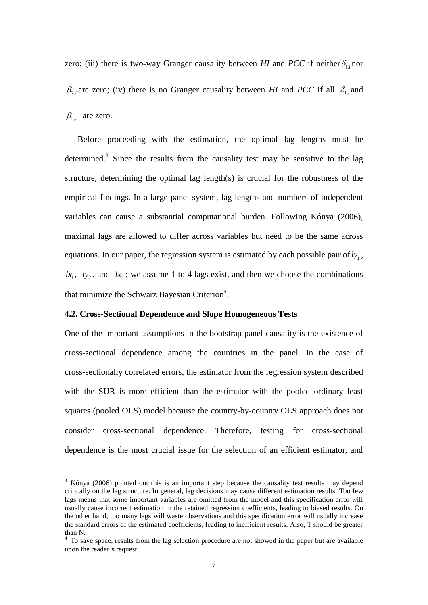zero; (iii) there is two-way Granger causality between *HI* and *PCC* if neither  $\delta_{1,i}$  nor  $\beta_{2,i}$  are zero; (iv) there is no Granger causality between *HI* and *PCC* if all  $\delta_{1,i}$  and  $\beta_{2,i}$  are zero.

Before proceeding with the estimation, the optimal lag lengths must be determined.<sup>3</sup> Since the results from the causality test may be sensitive to the lag structure, determining the optimal lag length(s) is crucial for the robustness of the empirical findings. In a large panel system, lag lengths and numbers of independent variables can cause a substantial computational burden. Following Kónya (2006), maximal lags are allowed to differ across variables but need to be the same across equations. In our paper, the regression system is estimated by each possible pair of  $ly_1$ ,  $lx_1$ ,  $ly_2$ , and  $lx_2$ ; we assume 1 to 4 lags exist, and then we choose the combinations that minimize the Schwarz Bayesian Criterion<sup>4</sup>.

#### **4.2. Cross-Sectional Dependence and Slope Homogeneous Tests**

<u>.</u>

One of the important assumptions in the bootstrap panel causality is the existence of cross-sectional dependence among the countries in the panel. In the case of cross-sectionally correlated errors, the estimator from the regression system described with the SUR is more efficient than the estimator with the pooled ordinary least squares (pooled OLS) model because the country-by-country OLS approach does not consider cross-sectional dependence. Therefore, testing for cross-sectional dependence is the most crucial issue for the selection of an efficient estimator, and

 $3\,$  Kónya (2006) pointed out this is an important step because the causality test results may depend critically on the lag structure. In general, lag decisions may cause different estimation results. Too few lags means that some important variables are omitted from the model and this specification error will usually cause incorrect estimation in the retained regression coefficients, leading to biased results. On the other hand, too many lags will waste observations and this specification error will usually increase the standard errors of the estimated coefficients, leading to inefficient results. Also, T should be greater than N.

<sup>&</sup>lt;sup>4</sup> To save space, results from the lag selection procedure are not showed in the paper but are available upon the reader's request.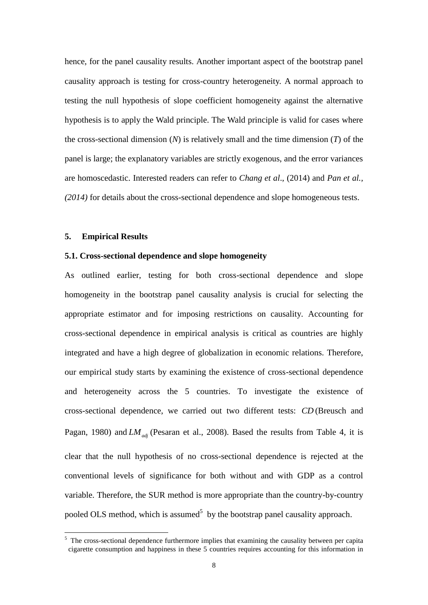hence, for the panel causality results. Another important aspect of the bootstrap panel causality approach is testing for cross-country heterogeneity. A normal approach to testing the null hypothesis of slope coefficient homogeneity against the alternative hypothesis is to apply the Wald principle. The Wald principle is valid for cases where the cross-sectional dimension (*N*) is relatively small and the time dimension (*T*) of the panel is large; the explanatory variables are strictly exogenous, and the error variances are homoscedastic. Interested readers can refer to *Chang et al*., (2014) and *Pan et al., (2014)* for details about the cross-sectional dependence and slope homogeneous tests.

#### **5. Empirical Results**

<u>.</u>

# **5.1. Cross-sectional dependence and slope homogeneity**

As outlined earlier, testing for both cross-sectional dependence and slope homogeneity in the bootstrap panel causality analysis is crucial for selecting the appropriate estimator and for imposing restrictions on causality. Accounting for cross-sectional dependence in empirical analysis is critical as countries are highly integrated and have a high degree of globalization in economic relations. Therefore, our empirical study starts by examining the existence of cross-sectional dependence and heterogeneity across the 5 countries. To investigate the existence of cross-sectional dependence, we carried out two different tests: *CD* (Breusch and Pagan, 1980) and *LM*<sub>*adj*</sub> (Pesaran et al., 2008). Based the results from Table 4, it is clear that the null hypothesis of no cross-sectional dependence is rejected at the conventional levels of significance for both without and with GDP as a control variable. Therefore, the SUR method is more appropriate than the country-by-country pooled OLS method, which is assumed<sup>5</sup> by the bootstrap panel causality approach.

<sup>&</sup>lt;sup>5</sup> The cross-sectional dependence furthermore implies that examining the causality between per capita cigarette consumption and happiness in these 5 countries requires accounting for this information in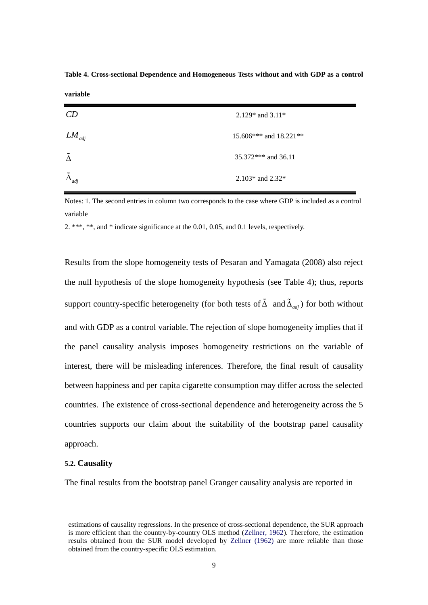| CD                      | 2.129* and $3.11*$       |
|-------------------------|--------------------------|
| $LM_{\mathit{adj}}$     | 15.606*** and $18.221**$ |
| $\Delta$                | $35.372***$ and 36.11    |
| $\Delta_{\textit{adj}}$ | 2.103* and $2.32*$       |

**Table 4. Cross-sectional Dependence and Homogeneous Tests without and with GDP as a control** 

Notes: 1. The second entries in column two corresponds to the case where GDP is included as a control variable

2. \*\*\*, \*\*, and \* indicate significance at the 0.01, 0.05, and 0.1 levels, respectively.

Results from the slope homogeneity tests of Pesaran and Yamagata (2008) also reject the null hypothesis of the slope homogeneity hypothesis (see Table 4); thus, reports support country-specific heterogeneity (for both tests of  $\Delta$  and  $\Delta_{adj}$ ) for both without and with GDP as a control variable. The rejection of slope homogeneity implies that if the panel causality analysis imposes homogeneity restrictions on the variable of interest, there will be misleading inferences. Therefore, the final result of causality between happiness and per capita cigarette consumption may differ across the selected countries. The existence of cross-sectional dependence and heterogeneity across the 5 countries supports our claim about the suitability of the bootstrap panel causality approach.

#### **5.2. Causality**

1

**variable**

The final results from the bootstrap panel Granger causality analysis are reported in

estimations of causality regressions. In the presence of cross-sectional dependence, the SUR approach is more efficient than the country-by-country OLS method (Zellner, 1962). Therefore, the estimation results obtained from the SUR model developed by Zellner (1962) are more reliable than those obtained from the country-specific OLS estimation.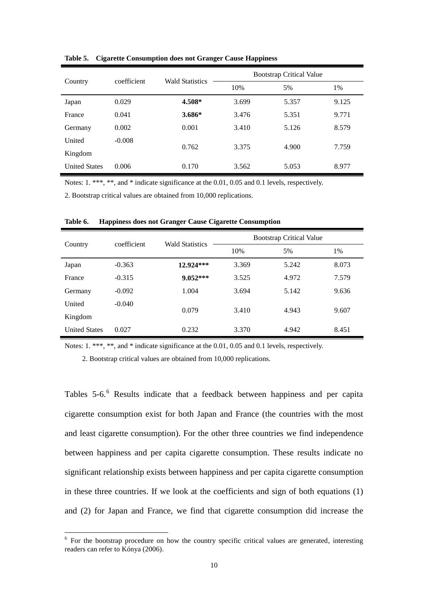| Country              | coefficient | <b>Wald Statistics</b> | <b>Bootstrap Critical Value</b> |       |       |  |
|----------------------|-------------|------------------------|---------------------------------|-------|-------|--|
|                      |             |                        | 10%                             | 5%    | 1%    |  |
| Japan                | 0.029       | 4.508*                 | 3.699                           | 5.357 | 9.125 |  |
| France               | 0.041       | $3.686*$               | 3.476                           | 5.351 | 9.771 |  |
| Germany              | 0.002       | 0.001                  | 3.410                           | 5.126 | 8.579 |  |
| United               | $-0.008$    |                        |                                 |       |       |  |
| Kingdom              |             | 0.762                  | 3.375                           | 4.900 | 7.759 |  |
| <b>United States</b> | 0.006       | 0.170                  | 3.562                           | 5.053 | 8.977 |  |

**Table 5. Cigarette Consumption does not Granger Cause Happiness**

Notes: 1. \*\*\*, \*\*, and \* indicate significance at the 0.01, 0.05 and 0.1 levels, respectively.

2. Bootstrap critical values are obtained from 10,000 replications.

| Country              | coefficient | <b>Wald Statistics</b> | <b>Bootstrap Critical Value</b> |       |       |  |
|----------------------|-------------|------------------------|---------------------------------|-------|-------|--|
|                      |             |                        | 10%                             | 5%    | 1%    |  |
| Japan                | $-0.363$    | 12.924***              | 3.369                           | 5.242 | 8.073 |  |
| France               | $-0.315$    | $9.052***$             | 3.525                           | 4.972 | 7.579 |  |
| Germany              | $-0.092$    | 1.004                  | 3.694                           | 5.142 | 9.636 |  |
| United               | $-0.040$    | 0.079                  | 3.410                           | 4.943 |       |  |
| Kingdom              |             |                        |                                 |       | 9.607 |  |
| <b>United States</b> | 0.027       | 0.232                  | 3.370                           | 4.942 | 8.451 |  |

**Table 6. Happiness does not Granger Cause Cigarette Consumption**

Notes: 1. \*\*\*, \*\*, and \* indicate significance at the 0.01, 0.05 and 0.1 levels, respectively.

2. Bootstrap critical values are obtained from 10,000 replications.

<u>.</u>

Tables 5-6. <sup>6</sup> Results indicate that a feedback between happiness and per capita cigarette consumption exist for both Japan and France (the countries with the most and least cigarette consumption). For the other three countries we find independence between happiness and per capita cigarette consumption. These results indicate no significant relationship exists between happiness and per capita cigarette consumption in these three countries. If we look at the coefficients and sign of both equations (1) and (2) for Japan and France, we find that cigarette consumption did increase the

 $6$  For the bootstrap procedure on how the country specific critical values are generated, interesting readers can refer to Kónya (2006).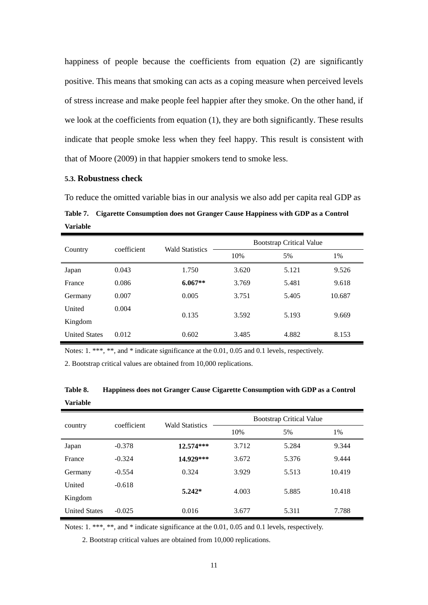happiness of people because the coefficients from equation (2) are significantly positive. This means that smoking can acts as a coping measure when perceived levels of stress increase and make people feel happier after they smoke. On the other hand, if we look at the coefficients from equation (1), they are both significantly. These results indicate that people smoke less when they feel happy. This result is consistent with that of Moore (2009) in that happier smokers tend to smoke less.

# **5.3. Robustness check**

To reduce the omitted variable bias in our analysis we also add per capita real GDP as **Table 7. Cigarette Consumption does not Granger Cause Happiness with GDP as a Control Variable**

| Country              | coefficient | <b>Wald Statistics</b> | <b>Bootstrap Critical Value</b> |       |        |  |
|----------------------|-------------|------------------------|---------------------------------|-------|--------|--|
|                      |             |                        | 10%                             | 5%    | $1\%$  |  |
| Japan                | 0.043       | 1.750                  | 3.620                           | 5.121 | 9.526  |  |
| France               | 0.086       | $6.067**$              | 3.769                           | 5.481 | 9.618  |  |
| Germany              | 0.007       | 0.005                  | 3.751                           | 5.405 | 10.687 |  |
| United               | 0.004       | 0.135                  | 3.592                           | 5.193 | 9.669  |  |
| Kingdom              |             |                        |                                 |       |        |  |
| <b>United States</b> | 0.012       | 0.602                  | 3.485                           | 4.882 | 8.153  |  |

Notes: 1. \*\*\*, \*\*, and \* indicate significance at the 0.01, 0.05 and 0.1 levels, respectively.

2. Bootstrap critical values are obtained from 10,000 replications.

| country              | coefficient | <b>Wald Statistics</b> |       | <b>Bootstrap Critical Value</b> |        |  |
|----------------------|-------------|------------------------|-------|---------------------------------|--------|--|
|                      |             |                        | 10%   | 5%                              | 1%     |  |
| Japan                | $-0.378$    | $12.574***$            | 3.712 | 5.284                           | 9.344  |  |
| France               | $-0.324$    | 14.929***              | 3.672 | 5.376                           | 9.444  |  |
| Germany              | $-0.554$    | 0.324                  | 3.929 | 5.513                           | 10.419 |  |
| United               | $-0.618$    |                        | 4.003 | 5.885                           | 10.418 |  |
| Kingdom              |             | $5.242*$               |       |                                 |        |  |
| <b>United States</b> | $-0.025$    | 0.016                  | 3.677 | 5.311                           | 7.788  |  |

**Table 8. Happiness does not Granger Cause Cigarette Consumption with GDP as a Control Variable**

Notes: 1. \*\*\*, \*\*, and \* indicate significance at the 0.01, 0.05 and 0.1 levels, respectively.

2. Bootstrap critical values are obtained from 10,000 replications.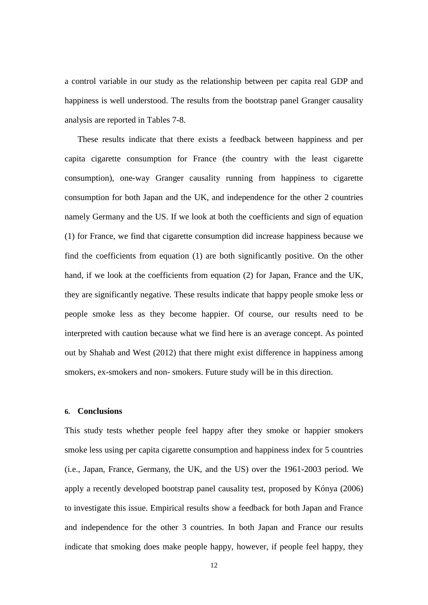a control variable in our study as the relationship between per capita real GDP and happiness is well understood. The results from the bootstrap panel Granger causality analysis are reported in Tables 7-8.

These results indicate that there exists a feedback between happiness and per capita cigarette consumption for France (the country with the least cigarette consumption), one-way Granger causality running from happiness to cigarette consumption for both Japan and the UK, and independence for the other 2 countries namely Germany and the US. If we look at both the coefficients and sign of equation (1) for France, we find that cigarette consumption did increase happiness because we find the coefficients from equation (1) are both significantly positive. On the other hand, if we look at the coefficients from equation (2) for Japan, France and the UK, they are significantly negative. These results indicate that happy people smoke less or people smoke less as they become happier. Of course, our results need to be interpreted with caution because what we find here is an average concept. As pointed out by Shahab and West (2012) that there might exist difference in happiness among smokers, ex-smokers and non- smokers. Future study will be in this direction.

#### **6. Conclusions**

This study tests whether people feel happy after they smoke or happier smokers smoke less using per capita cigarette consumption and happiness index for 5 countries (i.e., Japan, France, Germany, the UK, and the US) over the 1961-2003 period. We apply a recently developed bootstrap panel causality test, proposed by Kónya (2006) to investigate this issue. Empirical results show a feedback for both Japan and France and independence for the other 3 countries. In both Japan and France our results indicate that smoking does make people happy, however, if people feel happy, they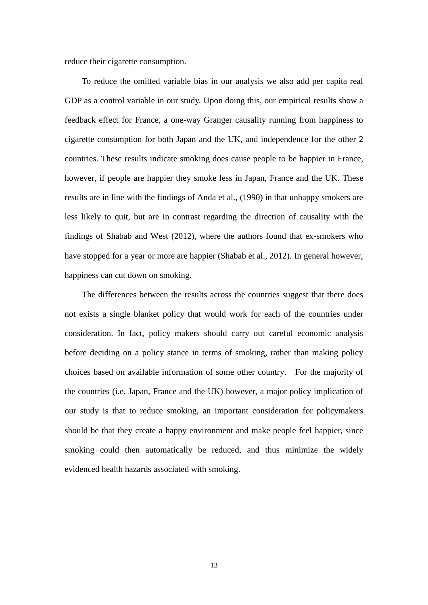reduce their cigarette consumption.

To reduce the omitted variable bias in our analysis we also add per capita real GDP as a control variable in our study. Upon doing this, our empirical results show a feedback effect for France, a one-way Granger causality running from happiness to cigarette consumption for both Japan and the UK, and independence for the other 2 countries. These results indicate smoking does cause people to be happier in France, however, if people are happier they smoke less in Japan, France and the UK. These results are in line with the findings of Anda et al., (1990) in that unhappy smokers are less likely to quit, but are in contrast regarding the direction of causality with the findings of Shabab and West (2012), where the authors found that ex-smokers who have stopped for a year or more are happier (Shabab et al., 2012). In general however, happiness can cut down on smoking.

The differences between the results across the countries suggest that there does not exists a single blanket policy that would work for each of the countries under consideration. In fact, policy makers should carry out careful economic analysis before deciding on a policy stance in terms of smoking, rather than making policy choices based on available information of some other country. For the majority of the countries (i.e. Japan, France and the UK) however, a major policy implication of our study is that to reduce smoking, an important consideration for policymakers should be that they create a happy environment and make people feel happier, since smoking could then automatically be reduced, and thus minimize the widely evidenced health hazards associated with smoking.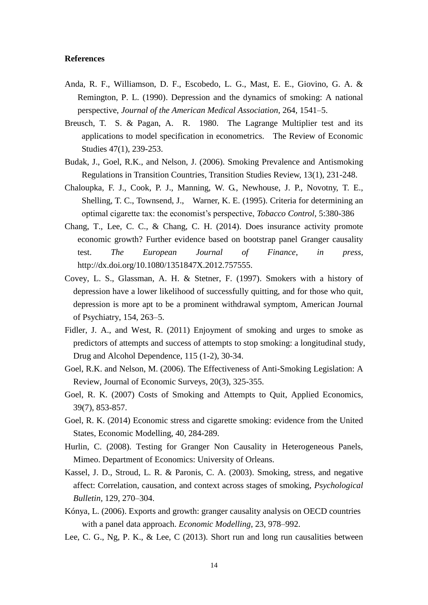## **References**

- Anda, R. F., Williamson, D. F., Escobedo, L. G., Mast, E. E., Giovino, G. A. & Remington, P. L. (1990). Depression and the dynamics of smoking: A national perspective, *Journal of the American Medical Association*, 264, 1541–5.
- Breusch, T. S. & Pagan, A. R. 1980. The Lagrange Multiplier test and its applications to model specification in econometrics. The Review of Economic Studies 47(1), 239-253.
- Budak, J., Goel, R.K., and Nelson, J. (2006). Smoking Prevalence and Antismoking Regulations in Transition Countries, Transition Studies Review, 13(1), 231-248.
- Chaloupka, F. J., Cook, P. J., Manning, W. G., Newhouse, J. P., Novotny, T. E., Shelling, T. C., Townsend, J., Warner, K. E. (1995). Criteria for determining an optimal cigarette tax: the economist's perspective, *Tobacco Control*, 5:380-386
- Chang, T., Lee, C. C., & Chang, C. H. (2014). Does insurance activity promote economic growth? Further evidence based on bootstrap panel Granger causality test. *The European Journal of Finance*, *in press,*  http://dx.doi.org/10.1080/1351847X.2012.757555.
- Covey, L. S., Glassman, A. H. & Stetner, F. (1997). Smokers with a history of depression have a lower likelihood of successfully quitting, and for those who quit, depression is more apt to be a prominent withdrawal symptom, American Journal of Psychiatry, 154, 263–5.
- Fidler, J. A., and West, R. (2011) Enjoyment of smoking and urges to smoke as predictors of attempts and success of attempts to stop smoking: a longitudinal study, Drug and Alcohol Dependence, 115 (1-2), 30-34.
- Goel, R.K. and Nelson, M. (2006). The Effectiveness of Anti-Smoking Legislation: A Review, Journal of Economic Surveys, 20(3), 325-355.
- Goel, R. K. (2007) Costs of Smoking and Attempts to Quit, Applied Economics, 39(7), 853-857.
- Goel, R. K. (2014) Economic stress and cigarette smoking: evidence from the United States, Economic Modelling, 40, 284-289.
- Hurlin, C. (2008). Testing for Granger Non Causality in Heterogeneous Panels, Mimeo. Department of Economics: University of Orleans.
- Kassel, J. D., Stroud, L. R. & Paronis, C. A. (2003). Smoking, stress, and negative affect: Correlation, causation, and context across stages of smoking, *Psychological Bulletin,* 129, 270–304.
- Kónya, L. (2006). Exports and growth: granger causality analysis on OECD countries with a panel data approach. *Economic Modelling*, 23, 978–992.
- Lee, C. G., Ng, P. K., & Lee, C (2013). Short run and long run causalities between